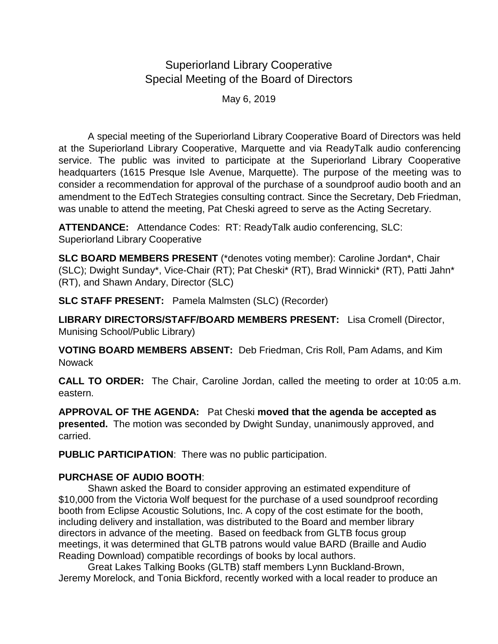## Superiorland Library Cooperative Special Meeting of the Board of Directors

May 6, 2019

A special meeting of the Superiorland Library Cooperative Board of Directors was held at the Superiorland Library Cooperative, Marquette and via ReadyTalk audio conferencing service. The public was invited to participate at the Superiorland Library Cooperative headquarters (1615 Presque Isle Avenue, Marquette). The purpose of the meeting was to consider a recommendation for approval of the purchase of a soundproof audio booth and an amendment to the EdTech Strategies consulting contract. Since the Secretary, Deb Friedman, was unable to attend the meeting, Pat Cheski agreed to serve as the Acting Secretary.

**ATTENDANCE:** Attendance Codes: RT: ReadyTalk audio conferencing, SLC: Superiorland Library Cooperative

**SLC BOARD MEMBERS PRESENT** (\*denotes voting member): Caroline Jordan\*, Chair (SLC); Dwight Sunday\*, Vice-Chair (RT); Pat Cheski\* (RT), Brad Winnicki\* (RT), Patti Jahn\* (RT), and Shawn Andary, Director (SLC)

**SLC STAFF PRESENT:** Pamela Malmsten (SLC) (Recorder)

**LIBRARY DIRECTORS/STAFF/BOARD MEMBERS PRESENT:** Lisa Cromell (Director, Munising School/Public Library)

**VOTING BOARD MEMBERS ABSENT:** Deb Friedman, Cris Roll, Pam Adams, and Kim **Nowack** 

**CALL TO ORDER:** The Chair, Caroline Jordan, called the meeting to order at 10:05 a.m. eastern.

**APPROVAL OF THE AGENDA:** Pat Cheski **moved that the agenda be accepted as presented.** The motion was seconded by Dwight Sunday, unanimously approved, and carried.

**PUBLIC PARTICIPATION**: There was no public participation.

## **PURCHASE OF AUDIO BOOTH**:

Shawn asked the Board to consider approving an estimated expenditure of \$10,000 from the Victoria Wolf bequest for the purchase of a used soundproof recording booth from Eclipse Acoustic Solutions, Inc. A copy of the cost estimate for the booth, including delivery and installation, was distributed to the Board and member library directors in advance of the meeting. Based on feedback from GLTB focus group meetings, it was determined that GLTB patrons would value BARD (Braille and Audio Reading Download) compatible recordings of books by local authors.

Great Lakes Talking Books (GLTB) staff members Lynn Buckland-Brown, Jeremy Morelock, and Tonia Bickford, recently worked with a local reader to produce an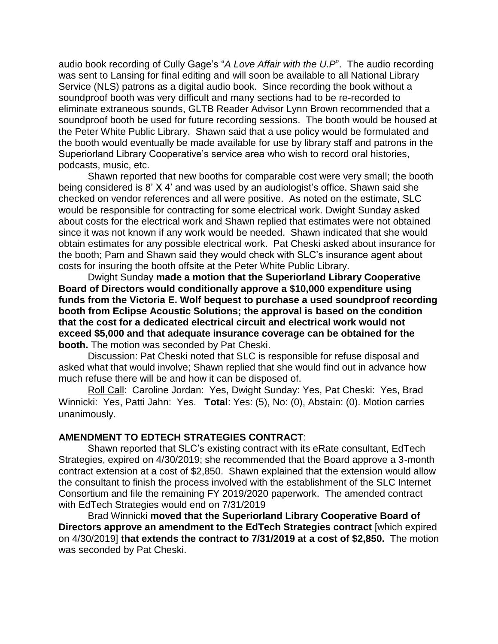audio book recording of Cully Gage's "*A Love Affair with the U.P*". The audio recording was sent to Lansing for final editing and will soon be available to all National Library Service (NLS) patrons as a digital audio book. Since recording the book without a soundproof booth was very difficult and many sections had to be re-recorded to eliminate extraneous sounds, GLTB Reader Advisor Lynn Brown recommended that a soundproof booth be used for future recording sessions. The booth would be housed at the Peter White Public Library. Shawn said that a use policy would be formulated and the booth would eventually be made available for use by library staff and patrons in the Superiorland Library Cooperative's service area who wish to record oral histories, podcasts, music, etc.

Shawn reported that new booths for comparable cost were very small; the booth being considered is 8' X 4' and was used by an audiologist's office. Shawn said she checked on vendor references and all were positive. As noted on the estimate, SLC would be responsible for contracting for some electrical work. Dwight Sunday asked about costs for the electrical work and Shawn replied that estimates were not obtained since it was not known if any work would be needed. Shawn indicated that she would obtain estimates for any possible electrical work. Pat Cheski asked about insurance for the booth; Pam and Shawn said they would check with SLC's insurance agent about costs for insuring the booth offsite at the Peter White Public Library.

Dwight Sunday **made a motion that the Superiorland Library Cooperative Board of Directors would conditionally approve a \$10,000 expenditure using funds from the Victoria E. Wolf bequest to purchase a used soundproof recording booth from Eclipse Acoustic Solutions; the approval is based on the condition that the cost for a dedicated electrical circuit and electrical work would not exceed \$5,000 and that adequate insurance coverage can be obtained for the booth.** The motion was seconded by Pat Cheski.

Discussion: Pat Cheski noted that SLC is responsible for refuse disposal and asked what that would involve; Shawn replied that she would find out in advance how much refuse there will be and how it can be disposed of.

Roll Call: Caroline Jordan: Yes, Dwight Sunday: Yes, Pat Cheski: Yes, Brad Winnicki: Yes, Patti Jahn: Yes. **Total**: Yes: (5), No: (0), Abstain: (0). Motion carries unanimously.

## **AMENDMENT TO EDTECH STRATEGIES CONTRACT**:

Shawn reported that SLC's existing contract with its eRate consultant, EdTech Strategies, expired on 4/30/2019; she recommended that the Board approve a 3-month contract extension at a cost of \$2,850. Shawn explained that the extension would allow the consultant to finish the process involved with the establishment of the SLC Internet Consortium and file the remaining FY 2019/2020 paperwork. The amended contract with EdTech Strategies would end on 7/31/2019

Brad Winnicki **moved that the Superiorland Library Cooperative Board of Directors approve an amendment to the EdTech Strategies contract** [which expired on 4/30/2019] **that extends the contract to 7/31/2019 at a cost of \$2,850.** The motion was seconded by Pat Cheski.